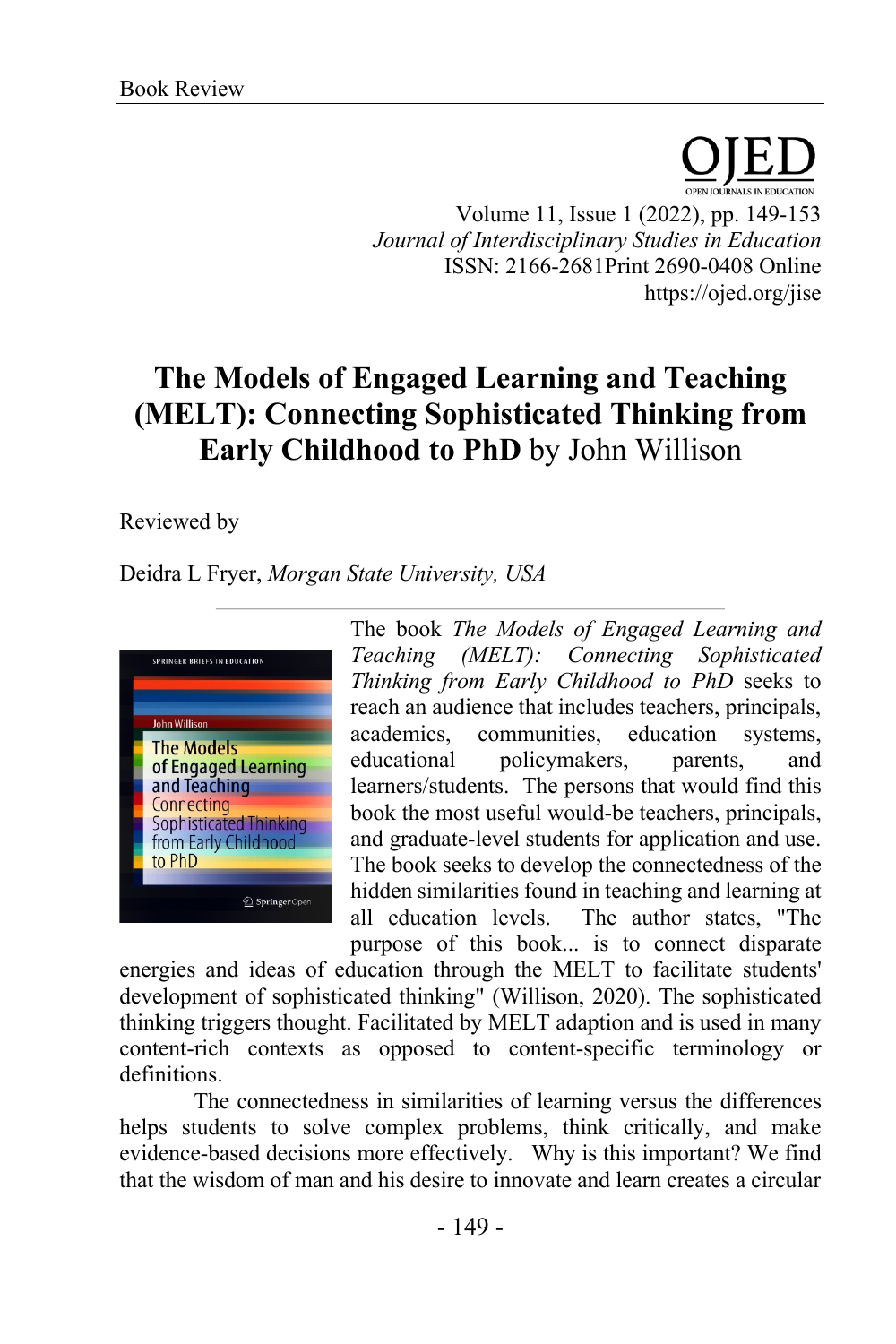Volume 11, Issue 1 (2022), pp. 149-153 *Journal of Interdisciplinary Studies in Education* ISSN: 2166-2681Print 2690-0408 Online https://ojed.org/jise

## **The Models of Engaged Learning and Teaching (MELT): Connecting Sophisticated Thinking from Early Childhood to PhD** by John Willison

## Reviewed by

Deidra L Fryer, *Morgan State University, USA* 



The book *The Models of Engaged Learning and Teaching (MELT): Connecting Sophisticated Thinking from Early Childhood to PhD* seeks to reach an audience that includes teachers, principals, academics, communities, education systems, educational policymakers, parents, and learners/students. The persons that would find this book the most useful would-be teachers, principals, and graduate-level students for application and use. The book seeks to develop the connectedness of the hidden similarities found in teaching and learning at all education levels. The author states, "The purpose of this book... is to connect disparate

energies and ideas of education through the MELT to facilitate students' development of sophisticated thinking" (Willison, 2020). The sophisticated thinking triggers thought. Facilitated by MELT adaption and is used in many content-rich contexts as opposed to content-specific terminology or definitions.

The connectedness in similarities of learning versus the differences helps students to solve complex problems, think critically, and make evidence-based decisions more effectively. Why is this important? We find that the wisdom of man and his desire to innovate and learn creates a circular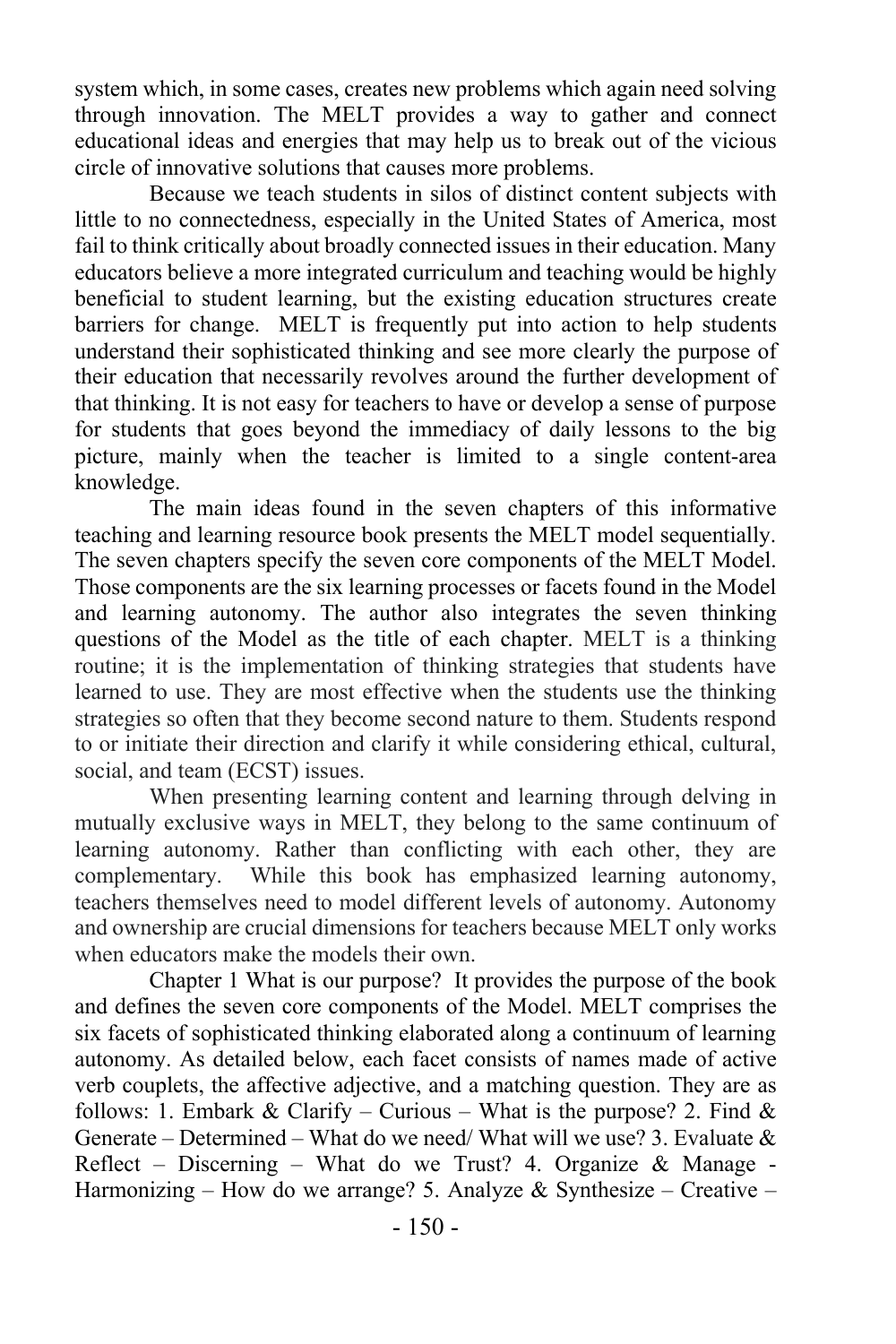system which, in some cases, creates new problems which again need solving through innovation. The MELT provides a way to gather and connect educational ideas and energies that may help us to break out of the vicious circle of innovative solutions that causes more problems.

Because we teach students in silos of distinct content subjects with little to no connectedness, especially in the United States of America, most fail to think critically about broadly connected issues in their education. Many educators believe a more integrated curriculum and teaching would be highly beneficial to student learning, but the existing education structures create barriers for change. MELT is frequently put into action to help students understand their sophisticated thinking and see more clearly the purpose of their education that necessarily revolves around the further development of that thinking. It is not easy for teachers to have or develop a sense of purpose for students that goes beyond the immediacy of daily lessons to the big picture, mainly when the teacher is limited to a single content-area knowledge.

The main ideas found in the seven chapters of this informative teaching and learning resource book presents the MELT model sequentially. The seven chapters specify the seven core components of the MELT Model. Those components are the six learning processes or facets found in the Model and learning autonomy. The author also integrates the seven thinking questions of the Model as the title of each chapter. MELT is a thinking routine; it is the implementation of thinking strategies that students have learned to use. They are most effective when the students use the thinking strategies so often that they become second nature to them. Students respond to or initiate their direction and clarify it while considering ethical, cultural, social, and team (ECST) issues.

When presenting learning content and learning through delving in mutually exclusive ways in MELT, they belong to the same continuum of learning autonomy. Rather than conflicting with each other, they are complementary. While this book has emphasized learning autonomy, teachers themselves need to model different levels of autonomy. Autonomy and ownership are crucial dimensions for teachers because MELT only works when educators make the models their own.

Chapter 1 What is our purpose? It provides the purpose of the book and defines the seven core components of the Model. MELT comprises the six facets of sophisticated thinking elaborated along a continuum of learning autonomy. As detailed below, each facet consists of names made of active verb couplets, the affective adjective, and a matching question. They are as follows: 1. Embark & Clarify – Curious – What is the purpose? 2. Find & Generate – Determined – What do we need/ What will we use? 3. Evaluate  $\&$ Reflect – Discerning – What do we Trust? 4. Organize  $\&$  Manage -Harmonizing – How do we arrange? 5. Analyze & Synthesize – Creative –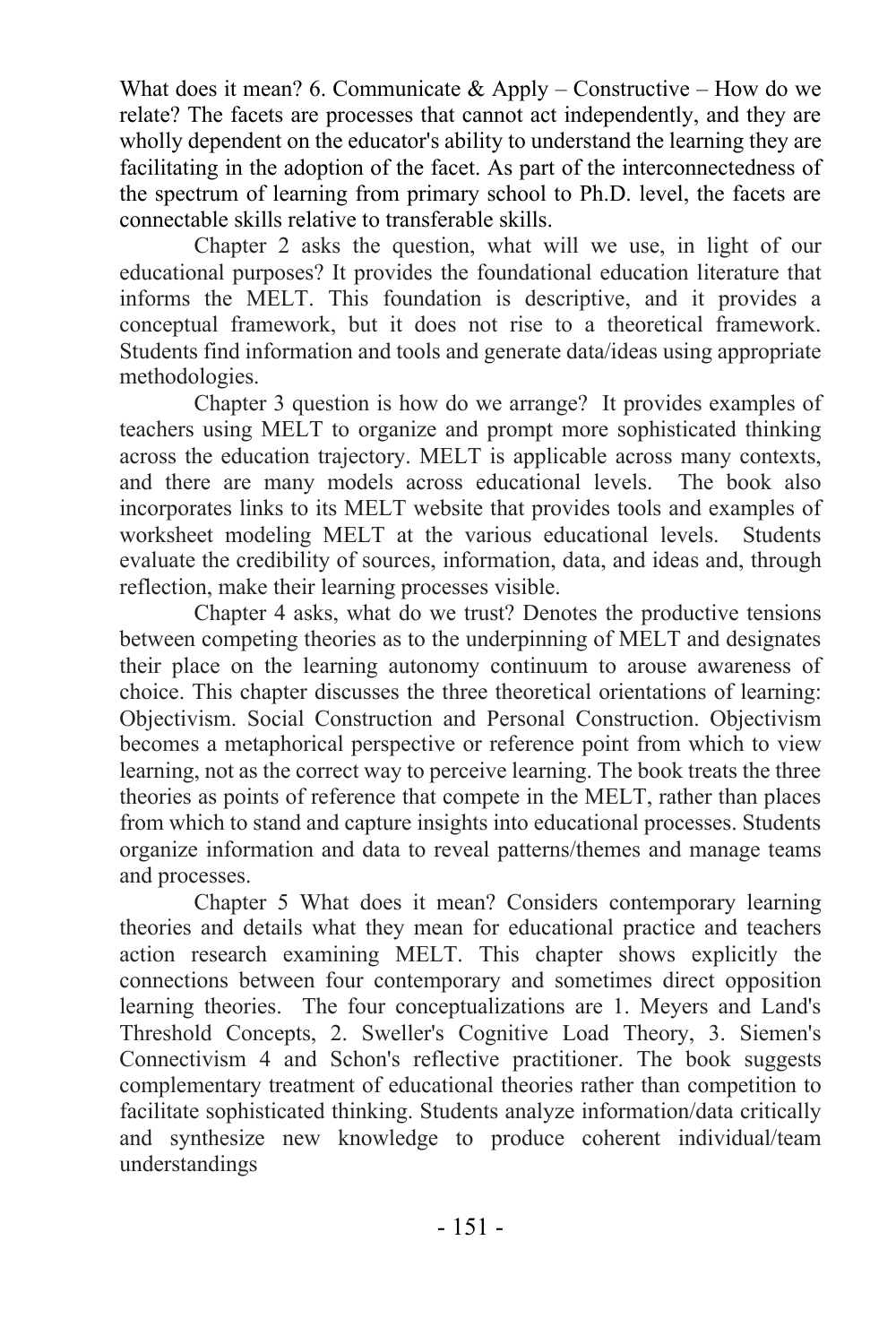What does it mean? 6. Communicate  $&$  Apply – Constructive – How do we relate? The facets are processes that cannot act independently, and they are wholly dependent on the educator's ability to understand the learning they are facilitating in the adoption of the facet. As part of the interconnectedness of the spectrum of learning from primary school to Ph.D. level, the facets are connectable skills relative to transferable skills.

Chapter 2 asks the question, what will we use, in light of our educational purposes? It provides the foundational education literature that informs the MELT. This foundation is descriptive, and it provides a conceptual framework, but it does not rise to a theoretical framework. Students find information and tools and generate data/ideas using appropriate methodologies.

Chapter 3 question is how do we arrange? It provides examples of teachers using MELT to organize and prompt more sophisticated thinking across the education trajectory. MELT is applicable across many contexts, and there are many models across educational levels. The book also incorporates links to its MELT website that provides tools and examples of worksheet modeling MELT at the various educational levels. Students evaluate the credibility of sources, information, data, and ideas and, through reflection, make their learning processes visible.

Chapter 4 asks, what do we trust? Denotes the productive tensions between competing theories as to the underpinning of MELT and designates their place on the learning autonomy continuum to arouse awareness of choice. This chapter discusses the three theoretical orientations of learning: Objectivism. Social Construction and Personal Construction. Objectivism becomes a metaphorical perspective or reference point from which to view learning, not as the correct way to perceive learning. The book treats the three theories as points of reference that compete in the MELT, rather than places from which to stand and capture insights into educational processes. Students organize information and data to reveal patterns/themes and manage teams and processes.

Chapter 5 What does it mean? Considers contemporary learning theories and details what they mean for educational practice and teachers action research examining MELT. This chapter shows explicitly the connections between four contemporary and sometimes direct opposition learning theories. The four conceptualizations are 1. Meyers and Land's Threshold Concepts, 2. Sweller's Cognitive Load Theory, 3. Siemen's Connectivism 4 and Schon's reflective practitioner. The book suggests complementary treatment of educational theories rather than competition to facilitate sophisticated thinking. Students analyze information/data critically and synthesize new knowledge to produce coherent individual/team understandings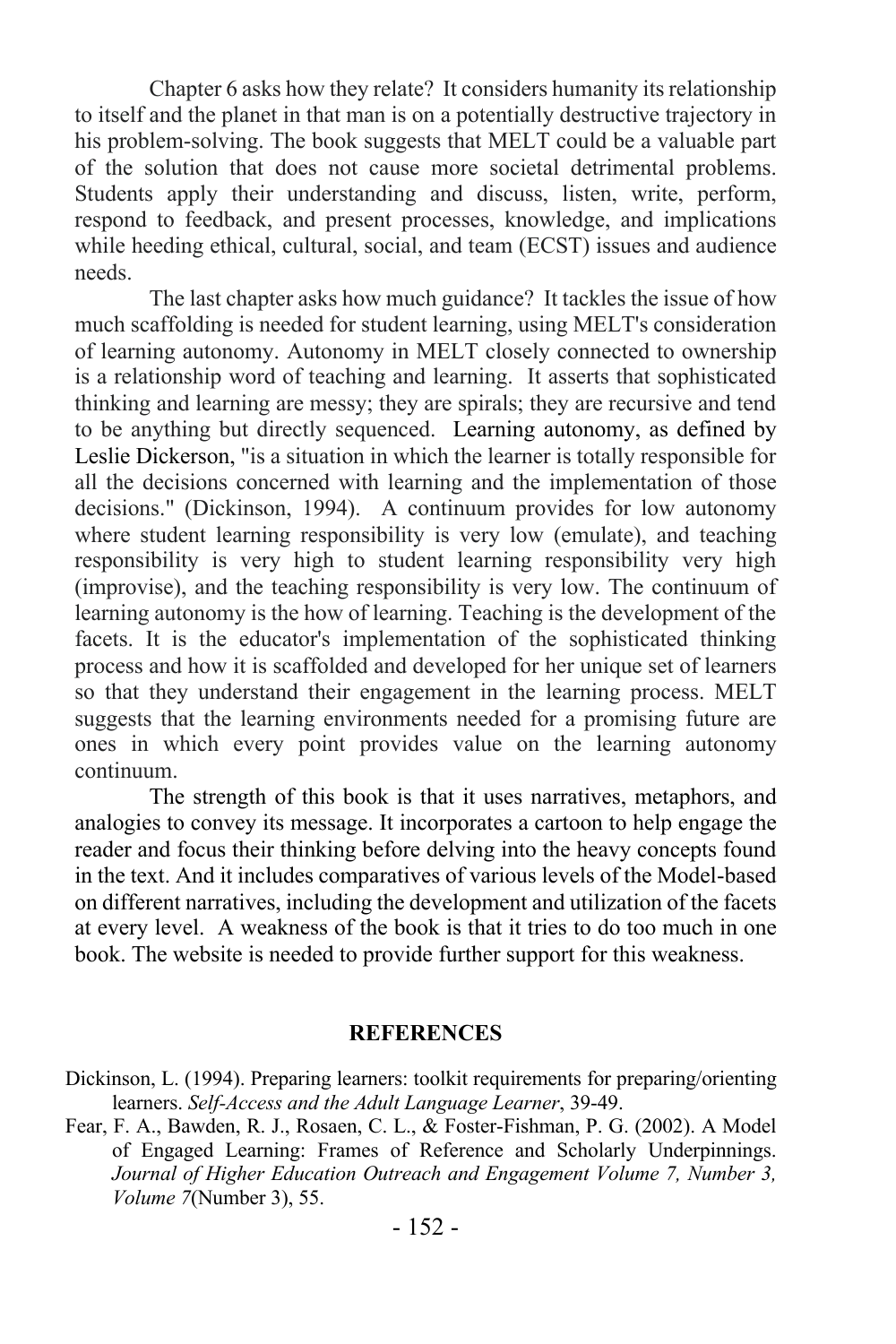Chapter 6 asks how they relate? It considers humanity its relationship to itself and the planet in that man is on a potentially destructive trajectory in his problem-solving. The book suggests that MELT could be a valuable part of the solution that does not cause more societal detrimental problems. Students apply their understanding and discuss, listen, write, perform, respond to feedback, and present processes, knowledge, and implications while heeding ethical, cultural, social, and team (ECST) issues and audience needs.

The last chapter asks how much guidance? It tackles the issue of how much scaffolding is needed for student learning, using MELT's consideration of learning autonomy. Autonomy in MELT closely connected to ownership is a relationship word of teaching and learning. It asserts that sophisticated thinking and learning are messy; they are spirals; they are recursive and tend to be anything but directly sequenced. Learning autonomy, as defined by Leslie Dickerson, "is a situation in which the learner is totally responsible for all the decisions concerned with learning and the implementation of those decisions." (Dickinson, 1994). A continuum provides for low autonomy where student learning responsibility is very low (emulate), and teaching responsibility is very high to student learning responsibility very high (improvise), and the teaching responsibility is very low. The continuum of learning autonomy is the how of learning. Teaching is the development of the facets. It is the educator's implementation of the sophisticated thinking process and how it is scaffolded and developed for her unique set of learners so that they understand their engagement in the learning process. MELT suggests that the learning environments needed for a promising future are ones in which every point provides value on the learning autonomy continuum.

The strength of this book is that it uses narratives, metaphors, and analogies to convey its message. It incorporates a cartoon to help engage the reader and focus their thinking before delving into the heavy concepts found in the text. And it includes comparatives of various levels of the Model-based on different narratives, including the development and utilization of the facets at every level. A weakness of the book is that it tries to do too much in one book. The website is needed to provide further support for this weakness.

## **REFERENCES**

- Dickinson, L. (1994). Preparing learners: toolkit requirements for preparing/orienting learners. *Self-Access and the Adult Language Learner*, 39-49.
- Fear, F. A., Bawden, R. J., Rosaen, C. L., & Foster-Fishman, P. G. (2002). A Model of Engaged Learning: Frames of Reference and Scholarly Underpinnings. *Journal of Higher Education Outreach and Engagement Volume 7, Number 3, Volume 7*(Number 3), 55.